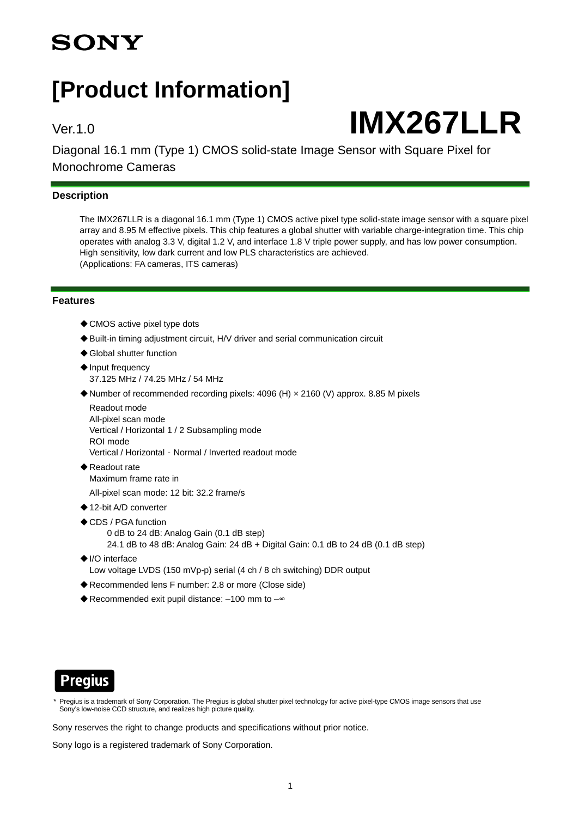## **SONY**

## **[Product Information]**

# Ver.1.0 **IMX267LLR**

Diagonal 16.1 mm (Type 1) CMOS solid-state Image Sensor with Square Pixel for Monochrome Cameras

#### **Description**

The IMX267LLR is a diagonal 16.1 mm (Type 1) CMOS active pixel type solid-state image sensor with a square pixel array and 8.95 M effective pixels. This chip features a global shutter with variable charge-integration time. This chip operates with analog 3.3 V, digital 1.2 V, and interface 1.8 V triple power supply, and has low power consumption. High sensitivity, low dark current and low PLS characteristics are achieved. (Applications: FA cameras, ITS cameras)

#### **Features**

- ◆ CMOS active pixel type dots
- ◆ Built-in timing adjustment circuit, H/V driver and serial communication circuit
- ◆ Global shutter function
- ◆ Input frequency 37.125 MHz / 74.25 MHz / 54 MHz
- ◆Number of recommended recording pixels: 4096 (H) × 2160 (V) approx. 8.85 M pixels

Readout mode All-pixel scan mode Vertical / Horizontal 1 / 2 Subsampling mode ROI mode Vertical / Horizontal - Normal / Inverted readout mode

- ◆Readout rate Maximum frame rate in
	- All-pixel scan mode: 12 bit: 32.2 frame/s
- ◆12-bit A/D converter
- ◆CDS / PGA function
	- 0 dB to 24 dB: Analog Gain (0.1 dB step)
	- 24.1 dB to 48 dB: Analog Gain: 24 dB + Digital Gain: 0.1 dB to 24 dB (0.1 dB step)
- ◆I/O interface Low voltage LVDS (150 mVp-p) serial (4 ch / 8 ch switching) DDR output
- ◆ Recommended lens F number: 2.8 or more (Close side)
- ◆ Recommended exit pupil distance: -100 mm to -~



Pregius is a trademark of Sony Corporation. The Pregius is global shutter pixel technology for active pixel-type CMOS image sensors that use Sony's low-noise CCD structure, and realizes high picture quality.

Sony reserves the right to change products and specifications without prior notice.

Sony logo is a registered trademark of Sony Corporation.